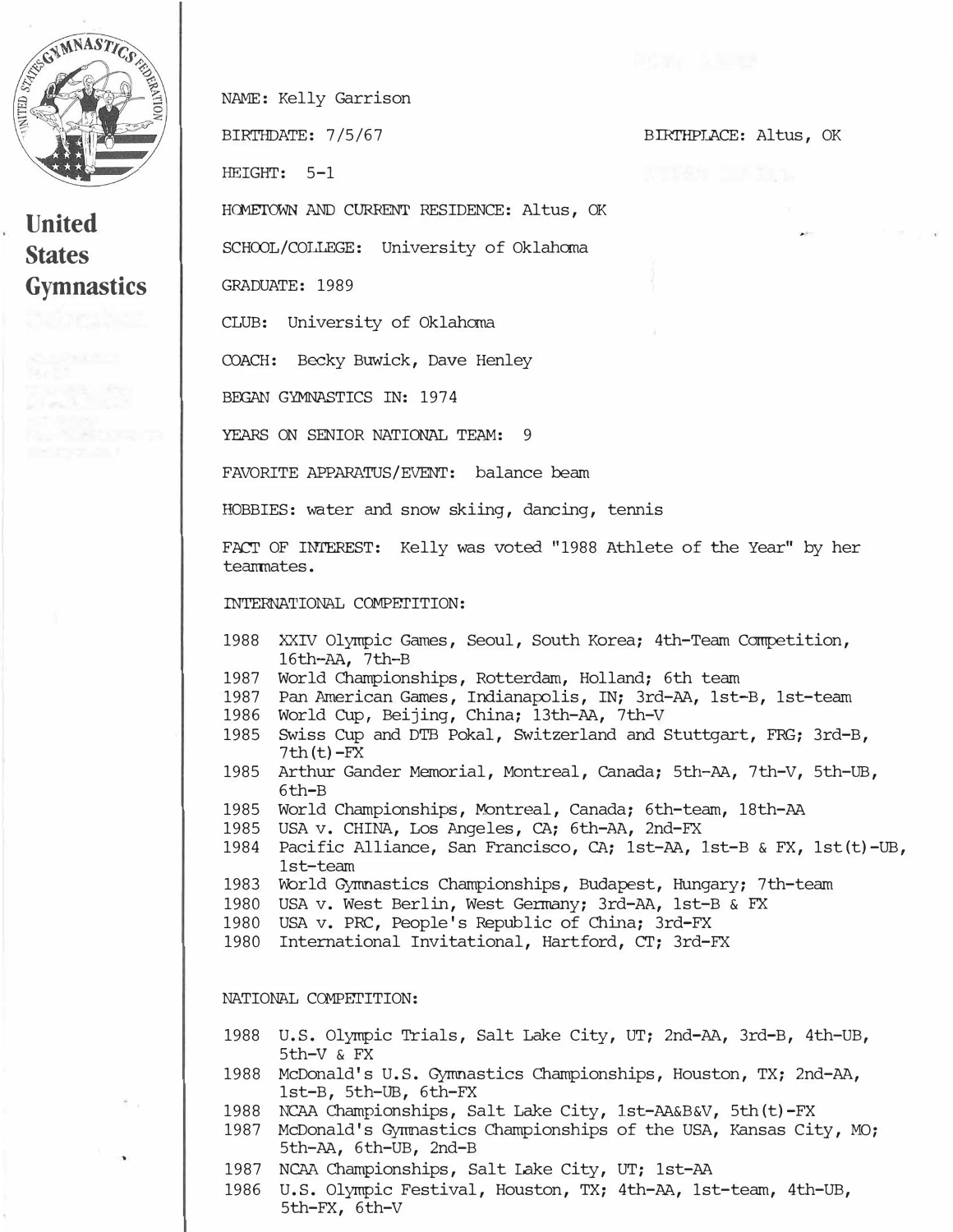

**United States Gymnastics**  *Hc::ME'I'Oim* AND CURRENT RESIDENCE: Altus, OK SCHOOL/COLLEGE: University of Oklahcma CLUB: University of Oklahcma COACH: Becky Buwick, Dave Henley BEGAN GYMNASTICS IN: 1974 YEARS ON SENIOR NATIONAL TEAM: 9 FAVORITE APPARATUS/EVENT: balance beam BIRTHPLACE: Altus, OK HOBBIES: water and snow skiing, dancing, tennis FACT OF INTEREST: Kelly was voted "1988 Athlete of the Year" by her INTERNATIONAL COMPETITION: 1988 XXIV Olympic Games, Seoul, South Korea; 4th-Team Competition, 1987 World Championships, Rotterdam, Holland; 6th team 1987 Pan American Games, Indianarolis, IN; 3rd-AA, lst-B, 1st-team 1986 World cup, Beijing, China; 13th-AA, 7th-V 1985 Swiss cup and DTB Pokal, Switzerland and Stuttgart, FRG; 3rd-B, 1985 Arthur Gander Memorial, Montreal, canada; 5th-AA, 7th-V, 5th-UB, 1985 World Championships, Montreal, Canada; 6th-team, 18th-AA

- 1985 USA v. CHINA, Los Angeles, CA; 6th-AA, 2nd-FX
- 1984 Pacific Alliance, San Francisco, CA; 1st-AA, lst-B & FX, lst(t)-UB, 1st-team
- 1983 'World Gymnastics Championships, Budapest, Hungary; 7th-team
- 1980 USA v. West Berlin, West Germany; 3rd-AA, 1st-B & FX
- 1980 USA v. PRC, People's Republic of China; 3rd-FX
- 1980 International Invitational, Hartford, CT; 3rd-FX

## NATIONAL COMPETITION:

16th-AA, 7th-B

 $7th(t)-FX$ 

6th-B

NAME: Kelly Garrison

BIRTHDATE: 7/5/67

HEIGHT: 5-1

GRADUATE: 1989

teamnates.

- 1988 U.S. Olympic Trials, Salt Lake City, UT; 2nd-AA, 3rd-B, 4th-UB, Sth-V & FX
- 1988 McDonald's U.S. Gymnastics Championships, Houston, TX; 2nd-AA, lst-B, Sth-UB, 6th-FX
- 1988 NCAA Championships, Salt Lake City, lst-AA&B&V, Sth(t)-FX
- 1987 McDonald's Gymnastics Championships of the USA, Kansas City, MO; 5th-AA, 6th-UB, 2nd-B
- 1987 NCAA Championships, Salt Lake City, UT; 1st-AA
- 1986 U.S. Olympic Festival, Houston, TX; 4th-AA, 1st-team, 4th-UB, 5th-FX, 6th-V